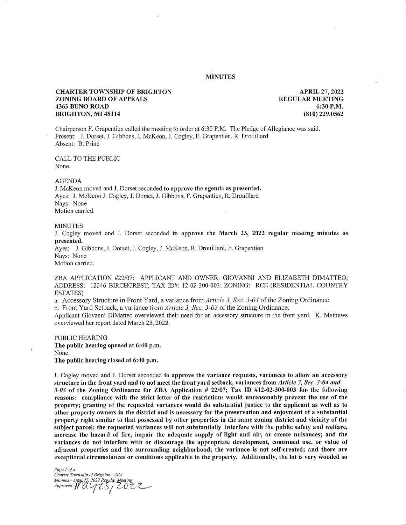## MINUTES

# CHARTER TOWNSHIP OF BRIGHTON ZONING BOARD OF APPEALS 4363 BUNO ROAD BRIGHTON, MI 48114

APRIL 27, 2022 REGULAR MEETING 6:30 P.M. (810) 229.0562

Chairperson F. Grapentien called the meeting to order at 6:30 P.M. The Pledge of Allegiance was said. Present: J. Dorset, J. Gibbons, J. McKeon, J. Cogley, F. Grapentien, R. Drouillard Absent: B. Prine

CALL TO THE PUBLIC None.

#### AGENDA

J. McKeon moved and J. Dorset seconded to approve the agenda as presented. Ayes: J. McKeon J. Cogley, J. Dorset, J. Gibbons, F. Grapentien, R. Drouillard Nays: None Motion carried.

## MINUTES

J. Cogley moved and J. Dorset seconded to approve the March 23, 2022 regular meeting minutes as presented.

Ayes: J. Gibbons, J. Dorset, J. Cogley, J. McKeon, R. Drouillard, F. Grapentien Nays: None Motion carried.

ZBA APPLICATION #22/07: APPLICANT AND OWNER: GIOVANNI AND ELIZABETH DIMATTEO; ADDRESS: 12246 BIRCHCREST; TAX ID#: 12-02-300-003; ZONING: RCE (RESIDENTIAL COUNTRY ESTATES)

a. Accessory Structure in Front Yard, a variance from Article 3, Sec. 3-04 of the Zoning Ordinance.

b. Front Yard Setback, a variance from Article 3, Sec. 3-03 of the Zoning Ordinance.

Applicant Giovanni DiMatteo overviewed their need for an accessory structure in the front yard. K. Mathews overviewed her report dated March 23, 2022.

PUBLIC HEARING The public hearing opened at 6:40 p.m. None. The public hearing closed at 6:40 p.m.

J. Cogley moved and J. Dorset seconded to approve the variance requests, variances to allow an accessory structure in the front yard and to not meet the front yard setback, variances from Article 3, Sec. 3-04 and  $3-03$  of the Zoning Ordinance for ZBA Application  $\#22/07$ ; Tax ID  $\#12-02-300-003$  for the following reasons: compliance with the strict letter of the restrictions would unreasonably prevent the use of the property; granting of the requested variances would do substantial justice to the applicant as well as to other property owners in the district and is necessary for the preservation and enjoyment of a substantial property right similar to that possessed by other properties in the same zoning district and vicinity of the subject parcel; the requested variances will not substantially interfere with the public safety and welfare, increase the hazard of fire, impair the adequate supply of light and air, or create nuisances; and the variances do not interfere with or discourage the appropriate development, continued use, or value of adjacent properties and the surrounding neighborhood; the variance is not self-created; and there are exceptional circumstances or conditions applicable to the property. Additionally, the lot is very wooded so

Page 1 of 3 Charter Township of Brighton - ZBA<br>Minutes - April 27, 2022 Regular Meeting<br>Approved - MAGIS / 2022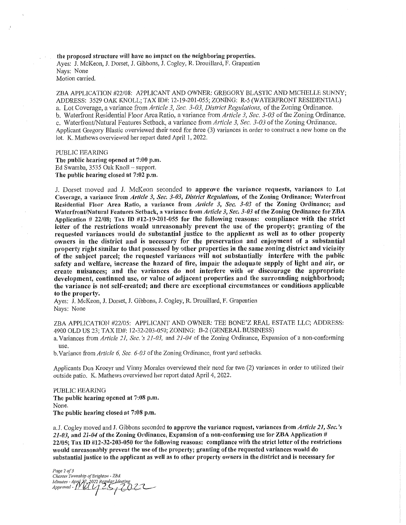the proposed structure will have no impact on the neighboring properties. Ayes: J. McKeon, J. Dorset, J. Gibbons, J. Cogley, R. Drouillard, F. Grapentien Nays: None Motion carried.

ZBA APPLICATION #22/08: APPLICANT AND OWNER: GREGORY BLASTIC AND MICHELLE SUNNY; ADDRESS: 3529 OAK KNOLL; TAX ID#: 12-19-201-055; ZONING: R-5 (WATERFRONT RESIDENTIAL) a. Lot Coverage, a variance from Article 3, Sec. 3-03, District Regulations, of the Zoning Ordinance. b. Waterfront Residential Floor Area Ratio, a variance from Article 3, Sec. 3-03 of the Zoning Ordinance. c. Waterfront/Natural Features Setback, a variance from Article 3, Sec. 3-03 of the Zoning Ordinance. Applicant Gregory Blastic overviewed their need for three (3) variances in order to construct a new home on the lot. K. Mathews overviewed her report dated April 1, 2022.

PUBLIC HEARING The public hearing opened at 7:00 p.m. Ed Swamba, 3535 Oak Knoll — support. The public hearing closed at 7:02 p.m.

J. Dorset moved and J. McKeon seconded to approve the variance requests, variances to Lot Coverage, a variance from Article 3, Sec. 3-03, District Regulations, of the Zoning Ordinance; Waterfront Residential Floor Area Ratio, a variance from Article 3, Sec. 3-03 of the Zoning Ordinance; and Waterfront/Natural Features Setback, a variance from Article 3, Sec. 3-03 of the Zoning Ordinance for ZBA Application # 22/08; Tax ID #12-19-201-055 for the following reasons: compliance with the strict letter of the restrictions would unreasonably prevent the use of the property; granting of the requested variances would do substantial justice to the applicant as well as to other property owners in the district and is necessary for the preservation and enjoyment of a substantial property right similar to that possessed by other properties in the same zoning district and vicinity of the subject parcel; the requested variances will not substantially interfere with the public safety and welfare, increase the hazard of fire, impair the adequate supply of light and air, or create nuisances; and the variances do not interfere with or discourage the appropriate development, continued use, or value of adjacent properties and the surrounding neighborhood; the variance is not self-created; and there are exceptional circumstances or conditions applicable to the property.

Ayes: J. McKeon, J. Dorset, J. Gibbons, J. Cogley, R. Drouillard, F. Grapentien Nays: None

ZBA APPLICATION #22/05: APPLICANT AND OWNER: TEE BONE'Z REAL ESTATE LLC; ADDRESS: 4900 OLD US 23; TAX ID#: 12-32-203-050; ZONING: B-2 (GENERAL BUSINESS)

a. Variances from Article 21, Sec. 's 21-03, and 21-04 of the Zoning Ordinance, Expansion of a non-conforming use.

b. Variance from Article 6, Sec. 6-03 of the Zoning Ordinance, front yard setbacks.

Applicants Don Kroeyr and Vinny Morales overviewed their need for two (2) variances in order to utilized their outside patio. K. Mathews overviewed her report dated April 4, 2022.

PUBLIC HEARING The public hearing opened at 7:08 p.m. None. The public hearing closed at 7:08 p.m.

a. J. Cogley moved and J. Gibbons seconded to approve the variance request, variances from Article 21, Sec.'s 21-03, and 21-04 of the Zoning Ordinance, Expansion of a non-conforming use for ZBA Application # 22/05; Tax ID #12-32-203-050 for the following reasons: compliance with the strict letter of the restrictions would unreasonably prevent the use of the property; granting of the requested variances would do substantial justice to the applicant as well as to other property owners in the district and is necessary for

Page 2 of 3 Charter Township of Brighton - ZBA<br>Minutes - April 27, 2022 Regular Meeting<br>Approved - J | U U | 2:5 , 7 0